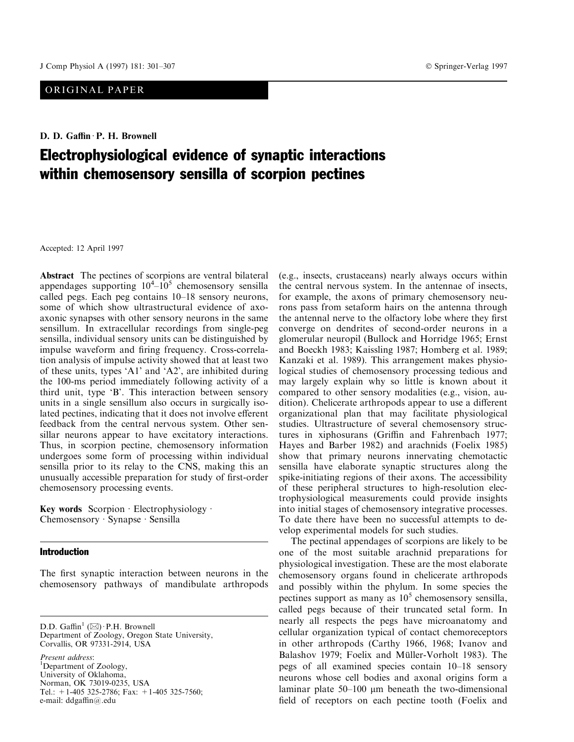## ORIGINAL PAPER

D. D. Gaffin · P. H. Brownell

# Electrophysiological evidence of synaptic interactions within chemosensory sensilla of scorpion pectines

Accepted: 12 April 1997

Abstract The pectines of scorpions are ventral bilateral appendages supporting  $10^4 - 10^5$  chemosensory sensilla called pegs. Each peg contains  $10-18$  sensory neurons, some of which show ultrastructural evidence of axoaxonic synapses with other sensory neurons in the same sensillum. In extracellular recordings from single-peg sensilla, individual sensory units can be distinguished by impulse waveform and firing frequency. Cross-correlation analysis of impulse activity showed that at least two of these units, types `A1' and `A2', are inhibited during the 100-ms period immediately following activity of a third unit, type `B'. This interaction between sensory units in a single sensillum also occurs in surgically isolated pectines, indicating that it does not involve efferent feedback from the central nervous system. Other sensillar neurons appear to have excitatory interactions. Thus, in scorpion pectine, chemosensory information undergoes some form of processing within individual sensilla prior to its relay to the CNS, making this an unusually accessible preparation for study of first-order chemosensory processing events.

Key words Scorpion  $\cdot$  Electrophysiology  $\cdot$ Chemosensory · Synapse · Sensilla

## **Introduction**

The first synaptic interaction between neurons in the chemosensory pathways of mandibulate arthropods

D.D. Gaffin<sup>1</sup> ( $\boxtimes$ ) · P.H. Brownell Department of Zoology, Oregon State University, Corvallis, OR 97331-2914, USA

Present address: <sup>1</sup>Department of Zoology, University of Oklahoma, Norman, OK 73019-0235, USA Tel.:  $+1-405$  325-2786; Fax:  $+1-405$  325-7560; e-mail: ddgaffin@.edu

(e.g., insects, crustaceans) nearly always occurs within the central nervous system. In the antennae of insects, for example, the axons of primary chemosensory neurons pass from setaform hairs on the antenna through the antennal nerve to the olfactory lobe where they first converge on dendrites of second-order neurons in a glomerular neuropil (Bullock and Horridge 1965; Ernst and Boeckh 1983; Kaissling 1987; Homberg et al. 1989; Kanzaki et al. 1989). This arrangement makes physiological studies of chemosensory processing tedious and may largely explain why so little is known about it compared to other sensory modalities (e.g., vision, audition). Chelicerate arthropods appear to use a different organizational plan that may facilitate physiological studies. Ultrastructure of several chemosensory structures in xiphosurans (Griffin and Fahrenbach 1977; Hayes and Barber 1982) and arachnids (Foelix 1985) show that primary neurons innervating chemotactic sensilla have elaborate synaptic structures along the spike-initiating regions of their axons. The accessibility of these peripheral structures to high-resolution electrophysiological measurements could provide insights into initial stages of chemosensory integrative processes. To date there have been no successful attempts to develop experimental models for such studies.

The pectinal appendages of scorpions are likely to be one of the most suitable arachnid preparations for physiological investigation. These are the most elaborate chemosensory organs found in chelicerate arthropods and possibly within the phylum. In some species the pectines support as many as  $10<sup>5</sup>$  chemosensory sensilla, called pegs because of their truncated setal form. In nearly all respects the pegs have microanatomy and cellular organization typical of contact chemoreceptors in other arthropods (Carthy 1966, 1968; Ivanov and Balashov 1979; Foelix and Müller-Vorholt 1983). The pegs of all examined species contain  $10-18$  sensory neurons whose cell bodies and axonal origins form a laminar plate  $50-100$  µm beneath the two-dimensional field of receptors on each pectine tooth (Foelix and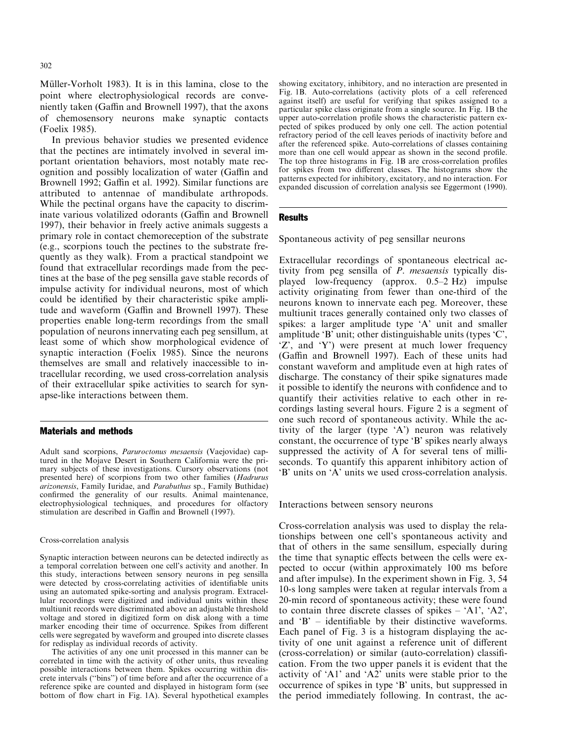Müller-Vorholt 1983). It is in this lamina, close to the point where electrophysiological records are conveniently taken (Gaffin and Brownell 1997), that the axons of chemosensory neurons make synaptic contacts (Foelix 1985).

In previous behavior studies we presented evidence that the pectines are intimately involved in several important orientation behaviors, most notably mate recognition and possibly localization of water (Gaffin and Brownell 1992; Gaffin et al. 1992). Similar functions are attributed to antennae of mandibulate arthropods. While the pectinal organs have the capacity to discriminate various volatilized odorants (Gaffin and Brownell 1997), their behavior in freely active animals suggests a primary role in contact chemoreception of the substrate (e.g., scorpions touch the pectines to the substrate frequently as they walk). From a practical standpoint we found that extracellular recordings made from the pectines at the base of the peg sensilla gave stable records of impulse activity for individual neurons, most of which could be identified by their characteristic spike amplitude and waveform (Gaffin and Brownell 1997). These properties enable long-term recordings from the small population of neurons innervating each peg sensillum, at least some of which show morphological evidence of synaptic interaction (Foelix 1985). Since the neurons themselves are small and relatively inaccessible to intracellular recording, we used cross-correlation analysis of their extracellular spike activities to search for synapse-like interactions between them.

#### Materials and methods

Adult sand scorpions, Paruroctonus mesaensis (Vaejovidae) captured in the Mojave Desert in Southern California were the primary subjects of these investigations. Cursory observations (not presented here) of scorpions from two other families (Hadrurus arizonensis, Family Iuridae, and Parabuthus sp., Family Buthidae) confirmed the generality of our results. Animal maintenance, electrophysiological techniques, and procedures for olfactory stimulation are described in Gaffin and Brownell (1997).

#### Cross-correlation analysis

Synaptic interaction between neurons can be detected indirectly as a temporal correlation between one cell's activity and another. In this study, interactions between sensory neurons in peg sensilla were detected by cross-correlating activities of identifiable units using an automated spike-sorting and analysis program. Extracellular recordings were digitized and individual units within these multiunit records were discriminated above an adjustable threshold voltage and stored in digitized form on disk along with a time marker encoding their time of occurrence. Spikes from different cells were segregated by waveform and grouped into discrete classes for redisplay as individual records of activity.

The activities of any one unit processed in this manner can be correlated in time with the activity of other units, thus revealing possible interactions between them. Spikes occurring within discrete intervals ("bins") of time before and after the occurrence of a reference spike are counted and displayed in histogram form (see bottom of flow chart in Fig. 1A). Several hypothetical examples showing excitatory, inhibitory, and no interaction are presented in Fig. 1B. Auto-correlations (activity plots of a cell referenced against itself) are useful for verifying that spikes assigned to a particular spike class originate from a single source. In Fig. 1B the upper auto-correlation profile shows the characteristic pattern expected of spikes produced by only one cell. The action potential refractory period of the cell leaves periods of inactivity before and after the referenced spike. Auto-correlations of classes containing more than one cell would appear as shown in the second profile. The top three histograms in Fig. 1B are cross-correlation profiles for spikes from two different classes. The histograms show the patterns expected for inhibitory, excitatory, and no interaction. For expanded discussion of correlation analysis see Eggermont (1990).

## **Results**

Spontaneous activity of peg sensillar neurons

Extracellular recordings of spontaneous electrical activity from peg sensilla of P. mesaensis typically displayed low-frequency (approx.  $0.5-2$  Hz) impulse activity originating from fewer than one-third of the neurons known to innervate each peg. Moreover, these multiunit traces generally contained only two classes of spikes: a larger amplitude type `A' unit and smaller amplitude `B' unit; other distinguishable units (types `C', `Z', and `Y') were present at much lower frequency (Gaffin and Brownell 1997). Each of these units had constant waveform and amplitude even at high rates of discharge. The constancy of their spike signatures made it possible to identify the neurons with confidence and to quantify their activities relative to each other in recordings lasting several hours. Figure 2 is a segment of one such record of spontaneous activity. While the activity of the larger (type `A') neuron was relatively constant, the occurrence of type `B' spikes nearly always suppressed the activity of A for several tens of milliseconds. To quantify this apparent inhibitory action of `B' units on `A' units we used cross-correlation analysis.

Interactions between sensory neurons

Cross-correlation analysis was used to display the relationships between one cell's spontaneous activity and that of others in the same sensillum, especially during the time that synaptic effects between the cells were expected to occur (within approximately 100 ms before and after impulse). In the experiment shown in Fig. 3, 54 10-s long samples were taken at regular intervals from a 20-min record of spontaneous activity; these were found to contain three discrete classes of spikes  $\mathbf{A}$ 1',  $\mathbf{A}$ 2', and  $B'$  – identifiable by their distinctive waveforms. Each panel of Fig. 3 is a histogram displaying the activity of one unit against a reference unit of different (cross-correlation) or similar (auto-correlation) classification. From the two upper panels it is evident that the activity of `A1' and `A2' units were stable prior to the occurrence of spikes in type `B' units, but suppressed in the period immediately following. In contrast, the ac-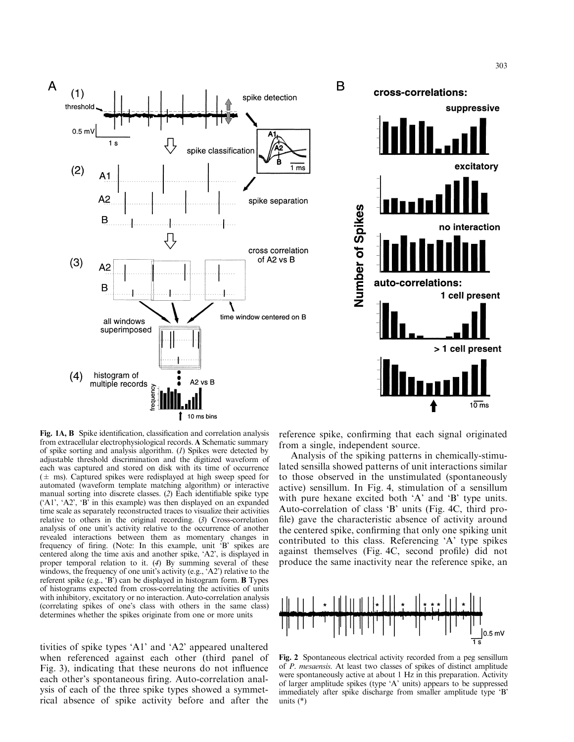



B

Fig. 1A, B Spike identification, classification and correlation analysis from extracellular electrophysiological records. A Schematic summary of spike sorting and analysis algorithm. (1) Spikes were detected by adjustable threshold discrimination and the digitized waveform of each was captured and stored on disk with its time of occurrence  $(\pm$  ms). Captured spikes were redisplayed at high sweep speed for automated (waveform template matching algorithm) or interactive manual sorting into discrete classes. (2) Each identifiable spike type (`A1', `A2', `B' in this example) was then displayed on an expanded time scale as separately reconstructed traces to visualize their activities relative to others in the original recording. (3) Cross-correlation analysis of one unit's activity relative to the occurrence of another revealed interactions between them as momentary changes in frequency of firing. (Note: In this example, unit 'B' spikes are centered along the time axis and another spike, `A2', is displayed in proper temporal relation to it. (4) By summing several of these windows, the frequency of one unit's activity (e.g., 'A2') relative to the referent spike (e.g., 'B') can be displayed in histogram form. **B** Types of histograms expected from cross-correlating the activities of units with inhibitory, excitatory or no interaction. Auto-correlation analysis (correlating spikes of one's class with others in the same class) determines whether the spikes originate from one or more units

tivities of spike types `A1' and `A2' appeared unaltered when referenced against each other (third panel of Fig. 3), indicating that these neurons do not influence each other's spontaneous firing. Auto-correlation analysis of each of the three spike types showed a symmetrical absence of spike activity before and after the reference spike, confirming that each signal originated from a single, independent source.

Analysis of the spiking patterns in chemically-stimulated sensilla showed patterns of unit interactions similar to those observed in the unstimulated (spontaneously active) sensillum. In Fig. 4, stimulation of a sensillum with pure hexane excited both 'A' and 'B' type units. Auto-correlation of class `B' units (Fig. 4C, third pro file) gave the characteristic absence of activity around the centered spike, confirming that only one spiking unit contributed to this class. Referencing `A' type spikes against themselves (Fig. 4C, second profile) did not produce the same inactivity near the reference spike, an



Fig. 2 Spontaneous electrical activity recorded from a peg sensillum of P. mesaensis. At least two classes of spikes of distinct amplitude were spontaneously active at about 1 Hz in this preparation. Activity of larger amplitude spikes (type `A' units) appears to be suppressed immediately after spike discharge from smaller amplitude type `B' units (\*)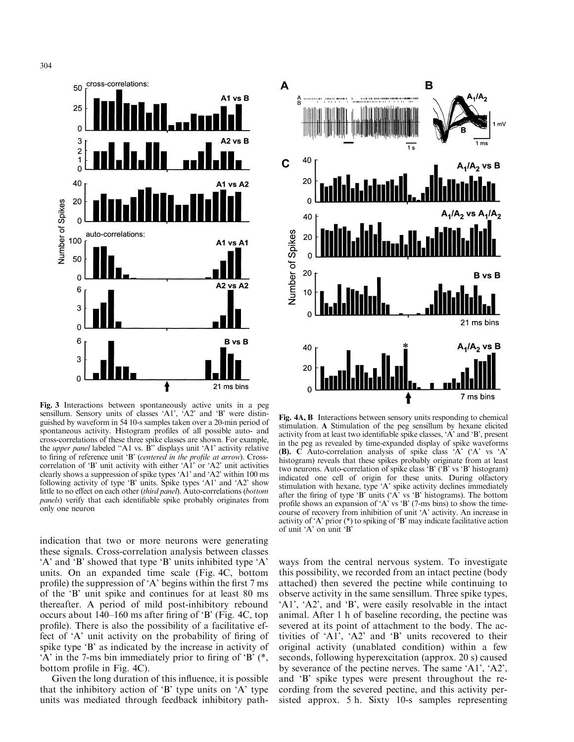

Fig. 3 Interactions between spontaneously active units in a peg sensillum. Sensory units of classes 'A1', 'A2' and 'B' were distinguished by waveform in 54 10-s samples taken over a 20-min period of spontaneous activity. Histogram profiles of all possible auto- and cross-correlations of these three spike classes are shown. For example, the *upper panel* labeled "A1 vs. B" displays unit 'A1' activity relative to firing of reference unit 'B' (centered in the profile at arrow). Crosscorrelation of 'B' unit activity with either 'A1' or 'A2' unit activities clearly shows a suppression of spike types `A1' and `A2' within 100 ms following activity of type 'B' units. Spike types 'A1' and 'A2' show little to no effect on each other (third panel). Auto-correlations (bottom panels) verify that each identifiable spike probably originates from only one neuron

indication that two or more neurons were generating these signals. Cross-correlation analysis between classes `A' and `B' showed that type `B' units inhibited type `A' units. On an expanded time scale (Fig. 4C, bottom profile) the suppression of  $\mathbf{A}'$  begins within the first 7 ms of the `B' unit spike and continues for at least 80 ms thereafter. A period of mild post-inhibitory rebound occurs about  $140-160$  ms after firing of 'B' (Fig. 4C, top profile). There is also the possibility of a facilitative effect of 'A' unit activity on the probability of firing of spike type 'B' as indicated by the increase in activity of  $'A'$  in the 7-ms bin immediately prior to firing of  $'B'$ , bottom profile in Fig.  $4C$ ).

Given the long duration of this influence, it is possible that the inhibitory action of  $B'$  type units on  $A'$  type units was mediated through feedback inhibitory path-



Fig. 4A, B Interactions between sensory units responding to chemical stimulation. A Stimulation of the peg sensillum by hexane elicited activity from at least two identifiable spike classes, 'A' and 'B', present in the peg as revealed by time-expanded display of spike waveforms (B). C Auto-correlation analysis of spike class `A' (`A' vs `A' histogram) reveals that these spikes probably originate from at least two neurons. Auto-correlation of spike class `B' (`B' vs `B' histogram) indicated one cell of origin for these units. During olfactory stimulation with hexane, type `A' spike activity declines immediately after the firing of type 'B' units ('A' vs 'B' histograms). The bottom profile shows an expansion of  $A'$  vs  $B'$  (7-ms bins) to show the timecourse of recovery from inhibition of unit `A' activity. An increase in activity of `A' prior (\*) to spiking of `B' may indicate facilitative action of unit `A' on unit `B'

ways from the central nervous system. To investigate this possibility, we recorded from an intact pectine (body attached) then severed the pectine while continuing to observe activity in the same sensillum. Three spike types, `A1', `A2', and `B', were easily resolvable in the intact animal. After 1 h of baseline recording, the pectine was severed at its point of attachment to the body. The activities of `A1', `A2' and `B' units recovered to their original activity (unablated condition) within a few seconds, following hyperexcitation (approx. 20 s) caused by severance of the pectine nerves. The same `A1', `A2', and `B' spike types were present throughout the recording from the severed pectine, and this activity persisted approx. 5 h. Sixty 10-s samples representing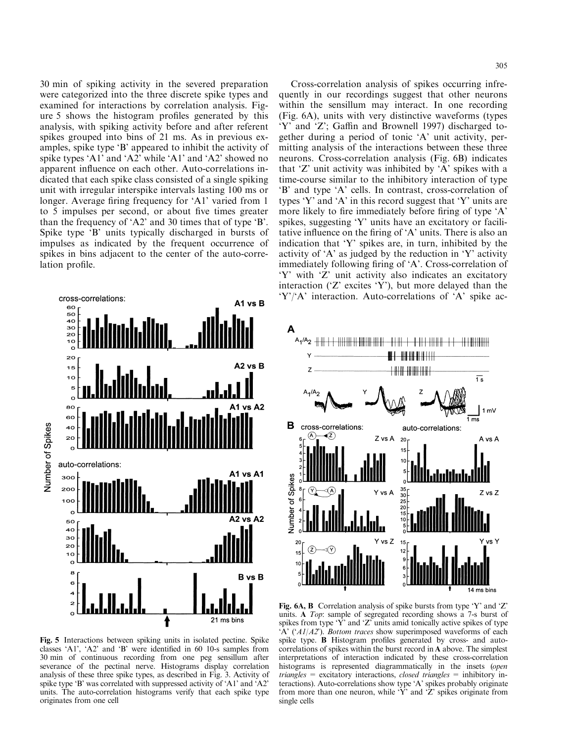30 min of spiking activity in the severed preparation were categorized into the three discrete spike types and examined for interactions by correlation analysis. Figure 5 shows the histogram profiles generated by this analysis, with spiking activity before and after referent spikes grouped into bins of 21 ms. As in previous examples, spike type `B' appeared to inhibit the activity of spike types 'A1' and 'A2' while 'A1' and 'A2' showed no apparent influence on each other. Auto-correlations indicated that each spike class consisted of a single spiking unit with irregular interspike intervals lasting 100 ms or longer. Average firing frequency for 'A1' varied from 1 to 5 impulses per second, or about five times greater than the frequency of `A2' and 30 times that of type `B'. Spike type 'B' units typically discharged in bursts of impulses as indicated by the frequent occurrence of spikes in bins adjacent to the center of the auto-correlation profile.



Fig. 5 Interactions between spiking units in isolated pectine. Spike classes  $'A1'$ ,  $'A2'$  and  $'B'$  were identified in 60 10-s samples from 30 min of continuous recording from one peg sensillum after severance of the pectinal nerve. Histograms display correlation analysis of these three spike types, as described in Fig. 3. Activity of spike type 'B' was correlated with suppressed activity of 'A1' and 'A2' units. The auto-correlation histograms verify that each spike type originates from one cell

Cross-correlation analysis of spikes occurring infrequently in our recordings suggest that other neurons within the sensillum may interact. In one recording (Fig. 6A), units with very distinctive waveforms (types 'Y' and 'Z'; Gaffin and Brownell 1997) discharged together during a period of tonic `A' unit activity, permitting analysis of the interactions between these three neurons. Cross-correlation analysis (Fig. 6B) indicates that  $Z'$  unit activity was inhibited by  $A'$  spikes with a time-course similar to the inhibitory interaction of type `B' and type `A' cells. In contrast, cross-correlation of types  $Y'$  and  $'A'$  in this record suggest that  $'Y'$  units are more likely to fire immediately before firing of type 'A' spikes, suggesting `Y' units have an excitatory or facilitative influence on the firing of  $A'$  units. There is also an indication that `Y' spikes are, in turn, inhibited by the activity of  $\mathbf{A}'$  as judged by the reduction in  $\mathbf{Y}'$  activity immediately following firing of 'A'. Cross-correlation of `Y' with `Z' unit activity also indicates an excitatory interaction ( $Z'$  excites  $Y'$ ), but more delayed than the `Y'/`A' interaction. Auto-correlations of `A' spike ac-



Fig. 6A, B Correlation analysis of spike bursts from type  $Y'$  and  $Z'$ units. A Top: sample of segregated recording shows a 7-s burst of spikes from type  $Y'$  and  $Z'$  units amid tonically active spikes of type  $A' (A1/A2')$ . Bottom traces show superimposed waveforms of each spike type. **B** Histogram profiles generated by cross- and autocorrelations of spikes within the burst record in A above. The simplest interpretations of interaction indicated by these cross-correlation histograms is represented diagrammatically in the insets (open  $triangles = excitatory interactions, closed triangles = inhibitory in$ teractions). Auto-correlations show type `A' spikes probably originate from more than one neuron, while `Y' and `Z' spikes originate from single cells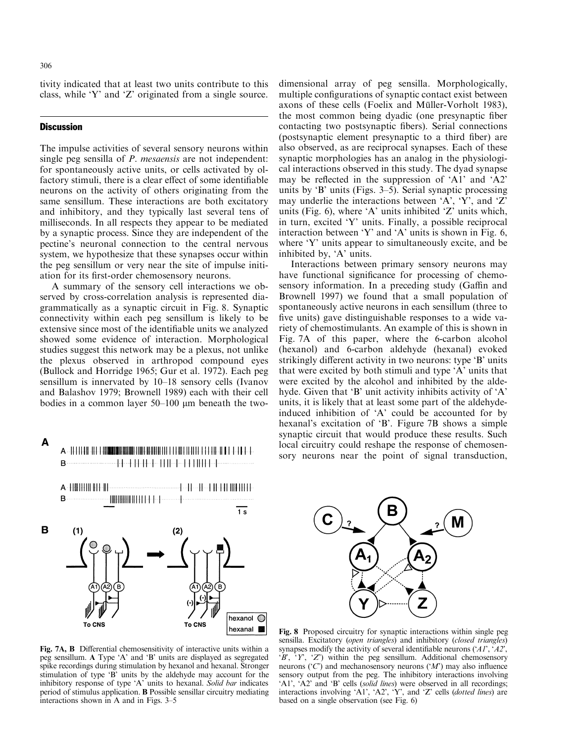A

tivity indicated that at least two units contribute to this class, while `Y' and `Z' originated from a single source.

#### **Discussion**

The impulse activities of several sensory neurons within single peg sensilla of *P. mesaensis* are not independent: for spontaneously active units, or cells activated by olfactory stimuli, there is a clear effect of some identifiable neurons on the activity of others originating from the same sensillum. These interactions are both excitatory and inhibitory, and they typically last several tens of milliseconds. In all respects they appear to be mediated by a synaptic process. Since they are independent of the pectine's neuronal connection to the central nervous system, we hypothesize that these synapses occur within the peg sensillum or very near the site of impulse initiation for its first-order chemosensory neurons.

A summary of the sensory cell interactions we observed by cross-correlation analysis is represented diagrammatically as a synaptic circuit in Fig. 8. Synaptic connectivity within each peg sensillum is likely to be extensive since most of the identifiable units we analyzed showed some evidence of interaction. Morphological studies suggest this network may be a plexus, not unlike the plexus observed in arthropod compound eyes (Bullock and Horridge 1965; Gur et al. 1972). Each peg sensillum is innervated by 10-18 sensory cells (Ivanov and Balashov 1979; Brownell 1989) each with their cell bodies in a common layer  $50-100 \mu m$  beneath the two-

 $A = \frac{1}{2} + \frac{1}{2} + \frac{1}{2} + \frac{1}{2} + \frac{1}{2} + \frac{1}{2} + \frac{1}{2} + \frac{1}{2} + \frac{1}{2} + \frac{1}{2} + \frac{1}{2} + \frac{1}{2} + \frac{1}{2} + \frac{1}{2} + \frac{1}{2} + \frac{1}{2} + \frac{1}{2} + \frac{1}{2} + \frac{1}{2} + \frac{1}{2} + \frac{1}{2} + \frac{1}{2} + \frac{1}{2} + \frac{1}{2} + \frac{1}{2} + \frac{1}{2} + \frac{1}{2} + \frac$ 



dimensional array of peg sensilla. Morphologically, multiple configurations of synaptic contact exist between axons of these cells (Foelix and Müller-Vorholt 1983), the most common being dyadic (one presynaptic fiber contacting two postsynaptic fibers). Serial connections (postsynaptic element presynaptic to a third fiber) are also observed, as are reciprocal synapses. Each of these synaptic morphologies has an analog in the physiological interactions observed in this study. The dyad synapse may be reflected in the suppression of 'A1' and 'A2' units by  $B'$  units (Figs. 3–5). Serial synaptic processing may underlie the interactions between  $A$ ,  $Y$ , and  $Z$ units (Fig. 6), where  $A'$  units inhibited  $Z'$  units which, in turn, excited `Y' units. Finally, a possible reciprocal interaction between 'Y' and 'A' units is shown in Fig. 6, where 'Y' units appear to simultaneously excite, and be inhibited by, `A' units.

Interactions between primary sensory neurons may have functional significance for processing of chemosensory information. In a preceding study (Gaffin and Brownell 1997) we found that a small population of spontaneously active neurons in each sensillum (three to five units) gave distinguishable responses to a wide variety of chemostimulants. An example of this is shown in Fig. 7A of this paper, where the 6-carbon alcohol (hexanol) and 6-carbon aldehyde (hexanal) evoked strikingly different activity in two neurons: type 'B' units that were excited by both stimuli and type `A' units that were excited by the alcohol and inhibited by the aldehyde. Given that 'B' unit activity inhibits activity of 'A' units, it is likely that at least some part of the aldehydeinduced inhibition of `A' could be accounted for by hexanal's excitation of 'B'. Figure 7B shows a simple synaptic circuit that would produce these results. Such local circuitry could reshape the response of chemosensory neurons near the point of signal transduction,



Fig. 7A, B Differential chemosensitivity of interactive units within a peg sensillum. A Type `A' and `B' units are displayed as segregated spike recordings during stimulation by hexanol and hexanal. Stronger stimulation of type  $\hat{B}$  units by the aldehyde may account for the inhibitory response of type `A' units to hexanal. Solid bar indicates period of stimulus application. B Possible sensillar circuitry mediating interactions shown in A and in Figs.  $3-5$ 

Fig. 8 Proposed circuitry for synaptic interactions within single peg sensilla. Excitatory (open triangles) and inhibitory (closed triangles) synapses modify the activity of several identifiable neurons ( $'AI'$ ,  $'AI'$ ,  $(B', 'Y', 'Z')$  within the peg sensillum. Additional chemosensory neurons ( $\hat{C}$ ) and mechanosensory neurons ( $\hat{M}$ ) may also influence sensory output from the peg. The inhibitory interactions involving `A1', `A2' and `B' cells (solid lines) were observed in all recordings; interactions involving  $\overleftrightarrow{A}$ 1',  $\overleftrightarrow{A}$ 2',  $\overleftrightarrow{Y}$ , and  $\overleftrightarrow{Z}$  cells (*dotted lines*) are based on a single observation (see Fig. 6)